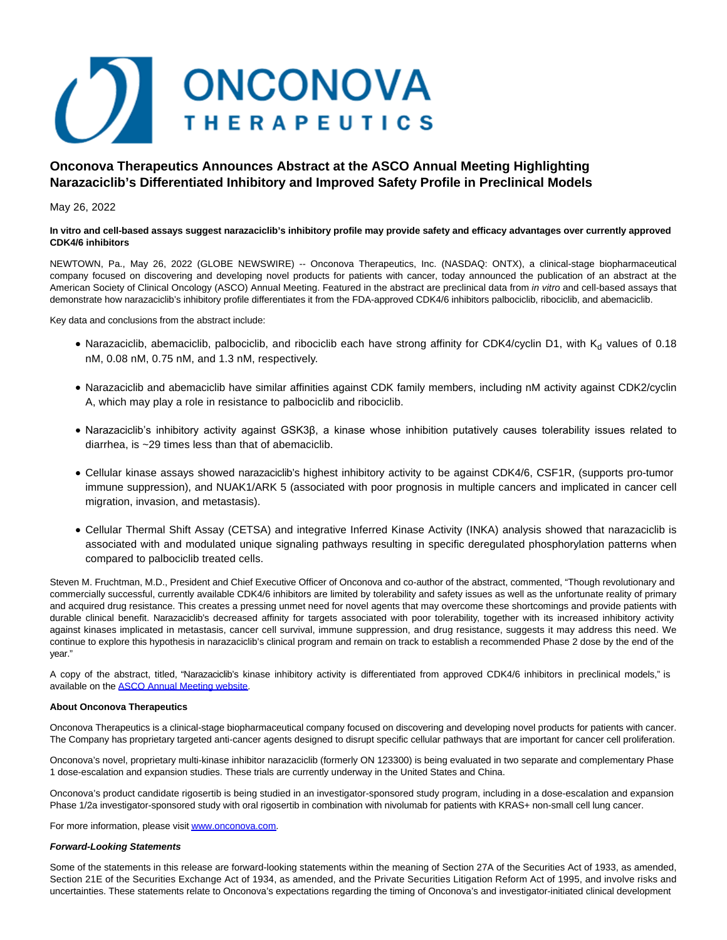

# **Onconova Therapeutics Announces Abstract at the ASCO Annual Meeting Highlighting Narazaciclib's Differentiated Inhibitory and Improved Safety Profile in Preclinical Models**

## May 26, 2022

## **In vitro and cell-based assays suggest narazaciclib's inhibitory profile may provide safety and efficacy advantages over currently approved CDK4/6 inhibitors**

NEWTOWN, Pa., May 26, 2022 (GLOBE NEWSWIRE) -- Onconova Therapeutics, Inc. (NASDAQ: ONTX), a clinical-stage biopharmaceutical company focused on discovering and developing novel products for patients with cancer, today announced the publication of an abstract at the American Society of Clinical Oncology (ASCO) Annual Meeting. Featured in the abstract are preclinical data from in vitro and cell-based assays that demonstrate how narazaciclib's inhibitory profile differentiates it from the FDA-approved CDK4/6 inhibitors palbociclib, ribociclib, and abemaciclib.

Key data and conclusions from the abstract include:

- Narazaciclib, abemaciclib, palbociclib, and ribociclib each have strong affinity for CDK4/cyclin D1, with  $K_d$  values of 0.18 nM, 0.08 nM, 0.75 nM, and 1.3 nM, respectively.
- Narazaciclib and abemaciclib have similar affinities against CDK family members, including nM activity against CDK2/cyclin A, which may play a role in resistance to palbociclib and ribociclib.
- Narazaciclib's inhibitory activity against GSK3β, a kinase whose inhibition putatively causes tolerability issues related to diarrhea, is ~29 times less than that of abemaciclib.
- Cellular kinase assays showed narazaciclib's highest inhibitory activity to be against CDK4/6, CSF1R, (supports pro-tumor immune suppression), and NUAK1/ARK 5 (associated with poor prognosis in multiple cancers and implicated in cancer cell migration, invasion, and metastasis).
- Cellular Thermal Shift Assay (CETSA) and integrative Inferred Kinase Activity (INKA) analysis showed that narazaciclib is associated with and modulated unique signaling pathways resulting in specific deregulated phosphorylation patterns when compared to palbociclib treated cells.

Steven M. Fruchtman, M.D., President and Chief Executive Officer of Onconova and co-author of the abstract, commented, "Though revolutionary and commercially successful, currently available CDK4/6 inhibitors are limited by tolerability and safety issues as well as the unfortunate reality of primary and acquired drug resistance. This creates a pressing unmet need for novel agents that may overcome these shortcomings and provide patients with durable clinical benefit. Narazaciclib's decreased affinity for targets associated with poor tolerability, together with its increased inhibitory activity against kinases implicated in metastasis, cancer cell survival, immune suppression, and drug resistance, suggests it may address this need. We continue to explore this hypothesis in narazaciclib's clinical program and remain on track to establish a recommended Phase 2 dose by the end of the year."

A copy of the abstract, titled, "Narazaciclib's kinase inhibitory activity is differentiated from approved CDK4/6 inhibitors in preclinical models," is available on the [ASCO Annual Meeting website.](https://www.globenewswire.com/Tracker?data=x7S0_vAY70FQAPS15dHHJfCWsQEfzOE7z3D-ognX3HJ3v3d1NY0ugoBfLuM9TbmR9di7qZm4BNIOA1BeyBPpe3hj9FJb7LdmS65AL6npSYwOPa2SRgQPSHq5UpaT0uvU)

## **About Onconova Therapeutics**

Onconova Therapeutics is a clinical-stage biopharmaceutical company focused on discovering and developing novel products for patients with cancer. The Company has proprietary targeted anti-cancer agents designed to disrupt specific cellular pathways that are important for cancer cell proliferation.

Onconova's novel, proprietary multi-kinase inhibitor narazaciclib (formerly ON 123300) is being evaluated in two separate and complementary Phase 1 dose-escalation and expansion studies. These trials are currently underway in the United States and China.

Onconova's product candidate rigosertib is being studied in an investigator-sponsored study program, including in a dose-escalation and expansion Phase 1/2a investigator-sponsored study with oral rigosertib in combination with nivolumab for patients with KRAS+ non-small cell lung cancer.

For more information, please visi[t www.onconova.com.](https://www.globenewswire.com/Tracker?data=GJyg-5VbqzsU7ZQEho3zUuVleP8rflMNZf2dhgHND2PLSaDK0PPTe9jSD0xkGPiDNHzod80brz1ADnnZTD-0wA==)

## **Forward-Looking Statements**

Some of the statements in this release are forward-looking statements within the meaning of Section 27A of the Securities Act of 1933, as amended, Section 21E of the Securities Exchange Act of 1934, as amended, and the Private Securities Litigation Reform Act of 1995, and involve risks and uncertainties. These statements relate to Onconova's expectations regarding the timing of Onconova's and investigator-initiated clinical development